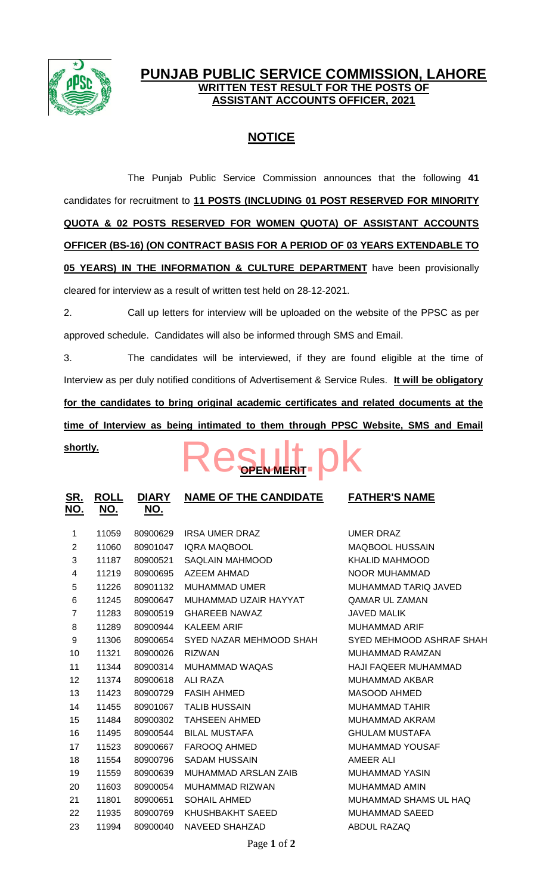

## **PUNJAB PUBLIC SERVICE COMMISSION, LAHORE WRITTEN TEST RESULT FOR THE POSTS OF ASSISTANT ACCOUNTS OFFICER, 2021**

# **NOTICE**

The Punjab Public Service Commission announces that the following **41** candidates for recruitment to **11 POSTS (INCLUDING 01 POST RESERVED FOR MINORITY QUOTA & 02 POSTS RESERVED FOR WOMEN QUOTA) OF ASSISTANT ACCOUNTS OFFICER (BS-16) (ON CONTRACT BASIS FOR A PERIOD OF 03 YEARS EXTENDABLE TO 05 YEARS) IN THE INFORMATION & CULTURE DEPARTMENT** have been provisionally cleared for interview as a result of written test held on 28-12-2021.

2. Call up letters for interview will be uploaded on the website of the PPSC as per approved schedule. Candidates will also be informed through SMS and Email.

3. The candidates will be interviewed, if they are found eligible at the time of Interview as per duly notified conditions of Advertisement & Service Rules. **It will be obligatory for the candidates to bring original academic certificates and related documents at the time of Interview as being intimated to them through PPSC Website, SMS and Email** 

#### **shortly.**



| <u>SR.</u>     | <u>ROLL</u> | <u>DIARY</u> | <b>NAME OF THE CANDIDATE</b> | <b>FATHER'S NAME</b>     |
|----------------|-------------|--------------|------------------------------|--------------------------|
| <u>NO.</u>     | <u>NO.</u>  | <u>NO.</u>   |                              |                          |
| 1              | 11059       | 80900629     | <b>IRSA UMER DRAZ</b>        | <b>UMER DRAZ</b>         |
| $\overline{2}$ | 11060       | 80901047     | <b>IQRA MAQBOOL</b>          | <b>MAQBOOL HUSSAIN</b>   |
| 3              | 11187       | 80900521     | SAQLAIN MAHMOOD              | <b>KHALID MAHMOOD</b>    |
| $\overline{4}$ | 11219       | 80900695     | AZEEM AHMAD                  | <b>NOOR MUHAMMAD</b>     |
| 5              | 11226       | 80901132     | <b>MUHAMMAD UMER</b>         | MUHAMMAD TARIQ JAVED     |
| 6              | 11245       | 80900647     | MUHAMMAD UZAIR HAYYAT        | <b>QAMAR UL ZAMAN</b>    |
| $\overline{7}$ | 11283       | 80900519     | <b>GHAREEB NAWAZ</b>         | <b>JAVED MALIK</b>       |
| 8              | 11289       | 80900944     | <b>KALEEM ARIF</b>           | <b>MUHAMMAD ARIF</b>     |
| 9              | 11306       | 80900654     | SYED NAZAR MEHMOOD SHAH      | SYED MEHMOOD ASHRAF SHAH |
| 10             | 11321       | 80900026     | <b>RIZWAN</b>                | <b>MUHAMMAD RAMZAN</b>   |
| 11             | 11344       | 80900314     | MUHAMMAD WAQAS               | HAJI FAQEER MUHAMMAD     |
| 12             | 11374       | 80900618     | ALI RAZA                     | <b>MUHAMMAD AKBAR</b>    |
| 13             | 11423       | 80900729     | <b>FASIH AHMED</b>           | MASOOD AHMED             |
| 14             | 11455       | 80901067     | <b>TALIB HUSSAIN</b>         | <b>MUHAMMAD TAHIR</b>    |
| 15             | 11484       | 80900302     | <b>TAHSEEN AHMED</b>         | MUHAMMAD AKRAM           |
| 16             | 11495       | 80900544     | <b>BILAL MUSTAFA</b>         | <b>GHULAM MUSTAFA</b>    |
| 17             | 11523       | 80900667     | <b>FAROOQ AHMED</b>          | <b>MUHAMMAD YOUSAF</b>   |
| 18             | 11554       | 80900796     | <b>SADAM HUSSAIN</b>         | <b>AMEER ALI</b>         |
| 19             | 11559       | 80900639     | MUHAMMAD ARSLAN ZAIB         | <b>MUHAMMAD YASIN</b>    |
| 20             | 11603       | 80900054     | <b>MUHAMMAD RIZWAN</b>       | <b>MUHAMMAD AMIN</b>     |
| 21             | 11801       | 80900651     | <b>SOHAIL AHMED</b>          | MUHAMMAD SHAMS UL HAQ    |
| 22             | 11935       | 80900769     | KHUSHBAKHT SAEED             | MUHAMMAD SAEED           |
| 23             | 11994       | 80900040     | NAVEED SHAHZAD               | ABDUL RAZAQ              |
|                |             |              |                              |                          |